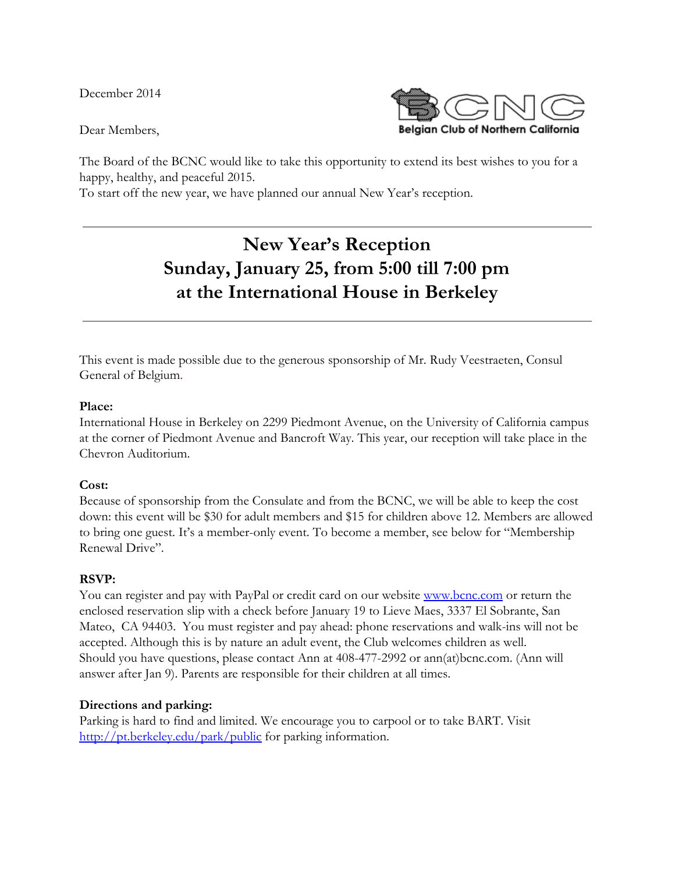December 2014

Dear Members,



The Board of the BCNC would like to take this opportunity to extend its best wishes to you for a happy, healthy, and peaceful 2015.

To start off the new year, we have planned our annual New Year's reception.

# **New Year's Reception Sunday, January 25, from 5:00 till 7:00 pm at the International House in Berkeley**

This event is made possible due to the generous sponsorship of Mr. Rudy Veestraeten, Consul General of Belgium.

#### **Place:**

International House in Berkeley on 2299 Piedmont Avenue, on the University of California campus at the corner of Piedmont Avenue and Bancroft Way. This year, our reception will take place in the Chevron Auditorium.

#### **Cost:**

Because of sponsorship from the Consulate and from the BCNC, we will be able to keep the cost down: this event will be \$30 for adult members and \$15 for children above 12. Members are allowed to bring one guest. It's a member-only event. To become a member, see below for "Membership Renewal Drive".

#### **RSVP:**

You can register and pay with PayPal or credit card on our website [www.bcnc.com](http://www.google.com/url?q=http%3A%2F%2Fwww.bcnc.com%2F&sa=D&sntz=1&usg=AFQjCNHz6-yDf_a-cSKoewnTBFqZL6HhNA) or return the enclosed reservation slip with a check before January 19 to Lieve Maes, 3337 El Sobrante, San Mateo, CA 94403. You must register and pay ahead: phone reservations and walk-ins will not be accepted. Although this is by nature an adult event, the Club welcomes children as well. Should you have questions, please contact Ann at 408-477-2992 or ann(at)bcnc.com. (Ann will answer after Jan 9). Parents are responsible for their children at all times.

#### **Directions and parking:**

Parking is hard to find and limited. We encourage you to carpool or to take BART. Visit [http://pt.berkeley.edu/park/public](http://www.google.com/url?q=http%3A%2F%2Fpt.berkeley.edu%2Fpark%2Fpublic&sa=D&sntz=1&usg=AFQjCNFwER3yt3_EVq7Ti9vz5PKOvRN1Vg) for parking information.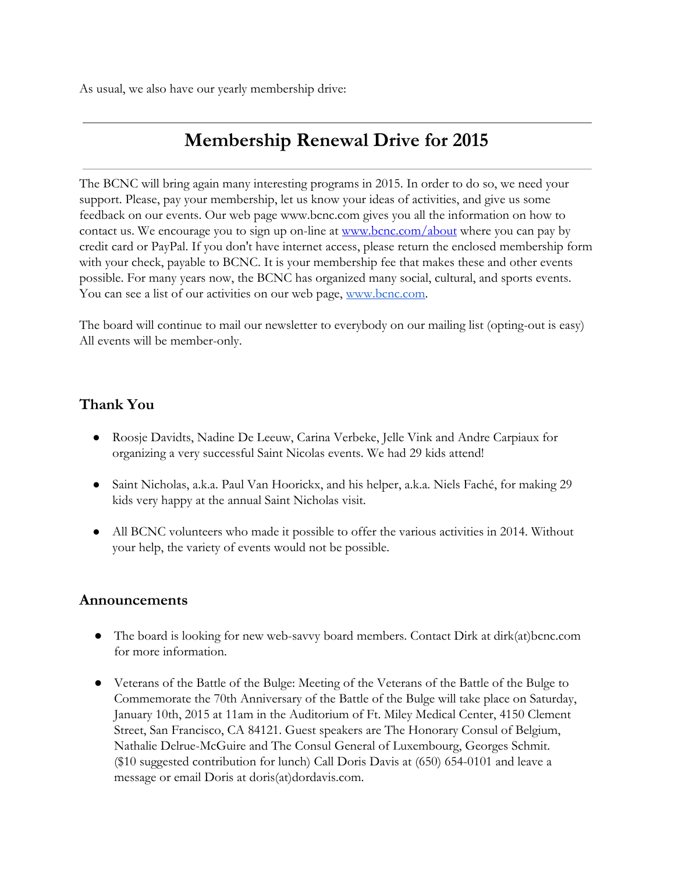As usual, we also have our yearly membership drive:

## **Membership Renewal Drive for 2015**

The BCNC will bring again many interesting programs in 2015. In order to do so, we need your support. Please, pay your membership, let us know your ideas of activities, and give us some feedback on our events. Our web page www.bcnc.com gives you all the information on how to contact us. We encourage you to sign up on-line at [www.bcnc.com/about](http://www.google.com/url?q=http%3A%2F%2Fwww.bcnc.com%2Fabout&sa=D&sntz=1&usg=AFQjCNFo2iiswKwpWrWpgac1FzKPvz67dA) where you can pay by credit card or PayPal. If you don't have internet access, please return the enclosed membership form with your check, payable to BCNC. It is your membership fee that makes these and other events possible. For many years now, the BCNC has organized many social, cultural, and sports events. You can see a list of our activities on our web page, [www.bcnc.com.](http://www.google.com/url?q=http%3A%2F%2Fwww.bcnc.com&sa=D&sntz=1&usg=AFQjCNH4Hj_cDSQpnJ98iUCYE4oRmGfldQ)

The board will continue to mail our newsletter to everybody on our mailing list (opting-out is easy) All events will be member-only.

#### **Thank You**

- Roosje Davidts, Nadine De Leeuw, Carina Verbeke, Jelle Vink and Andre Carpiaux for organizing a very successful Saint Nicolas events. We had 29 kids attend!
- Saint Nicholas, a.k.a. Paul Van Hoorickx, and his helper, a.k.a. Niels Faché, for making 29 kids very happy at the annual Saint Nicholas visit.
- All BCNC volunteers who made it possible to offer the various activities in 2014. Without your help, the variety of events would not be possible.

#### **Announcements**

- The board is looking for new web-savvy board members. Contact Dirk at dirk(at)bcnc.com for more information.
- Veterans of the Battle of the Bulge: Meeting of the Veterans of the Battle of the Bulge to Commemorate the 70th Anniversary of the Battle of the Bulge will take place on Saturday, January 10th, 2015 at 11am in the Auditorium of Ft. Miley Medical Center, 4150 Clement Street, San Francisco, CA 84121. Guest speakers are The Honorary Consul of Belgium, Nathalie Delrue-McGuire and The Consul General of Luxembourg, Georges Schmit. (\$10 suggested contribution for lunch) Call Doris Davis at (650) 654-0101 and leave a message or email Doris at doris(at)dordavis.com.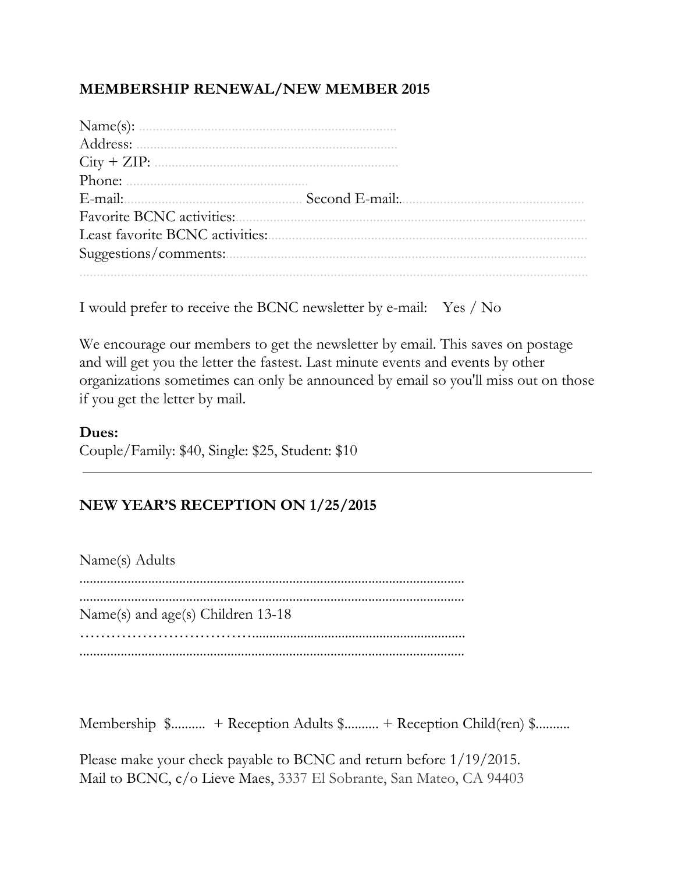## **MEMBERSHIP RENEWAL/NEW MEMBER 2015**

| Address:                        |  |
|---------------------------------|--|
| $City + ZIP:$                   |  |
|                                 |  |
|                                 |  |
|                                 |  |
| Least favorite BCNC activities: |  |
| Suggestions/comments:           |  |
|                                 |  |

I would prefer to receive the BCNC newsletter by e-mail: Yes / No

We encourage our members to get the newsletter by email. This saves on postage and will get you the letter the fastest. Last minute events and events by other organizations sometimes can only be announced by email so you'll miss out on those if you get the letter by mail.

### **Dues:**

Couple/Family: \$40, Single: \$25, Student: \$10

## **NEW YEAR'S RECEPTION ON 1/25/2015**

Name(s) Adults ................................................................................................................ ................................................................................................................ Name(s) and age(s) Children 13-18 …………………………….............................................................. ................................................................................................................

Membership \$.......... + Reception Adults \$.......... + Reception Child(ren) \$..........

Please make your check payable to BCNC and return before 1/19/2015. Mail to BCNC, c/o Lieve Maes, 3337 El Sobrante, San Mateo, CA 94403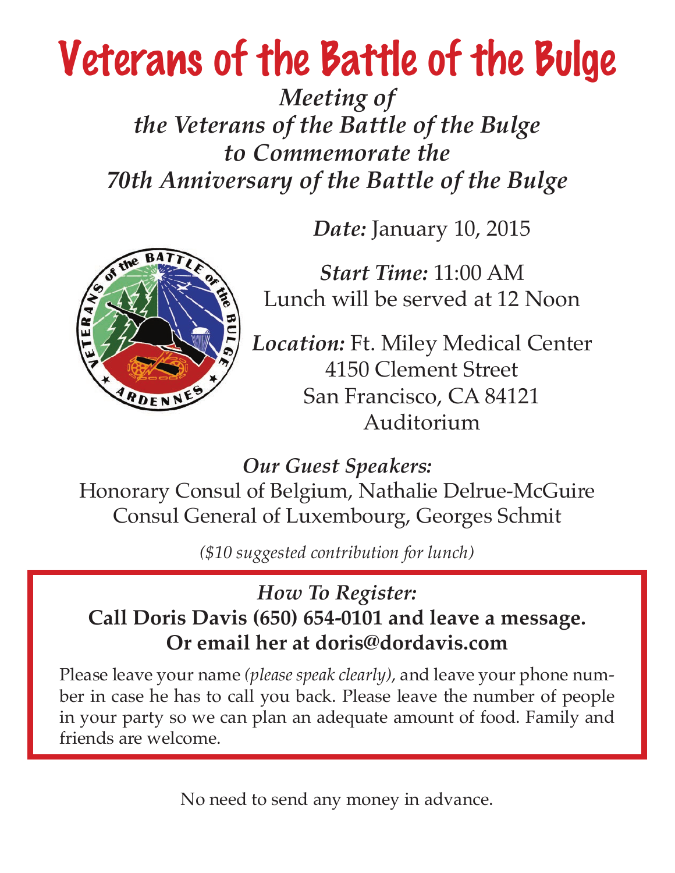# Veterans of the Battle of the Bulge

*Meeting of the Veterans of the Battle of the Bulge to Commemorate the 70th Anniversary of the Battle of the Bulge*

*Date:* January 10, 2015



*Start Time:* 11:00 AM Lunch will be served at 12 Noon

*Location:* Ft. Miley Medical Center 4150 Clement Street San Francisco, CA 84121 Auditorium

*Our Guest Speakers:*

Honorary Consul of Belgium, Nathalie Delrue-McGuire Consul General of Luxembourg, Georges Schmit

*(\$10 suggested contribution for lunch)*

# *How To Register:* **Call Doris Davis (650) 654-0101 and leave a message. Or email her at doris@dordavis.com**

Please leave your name *(please speak clearly)*, and leave your phone number in case he has to call you back. Please leave the number of people in your party so we can plan an adequate amount of food. Family and friends are welcome.

No need to send any money in advance.